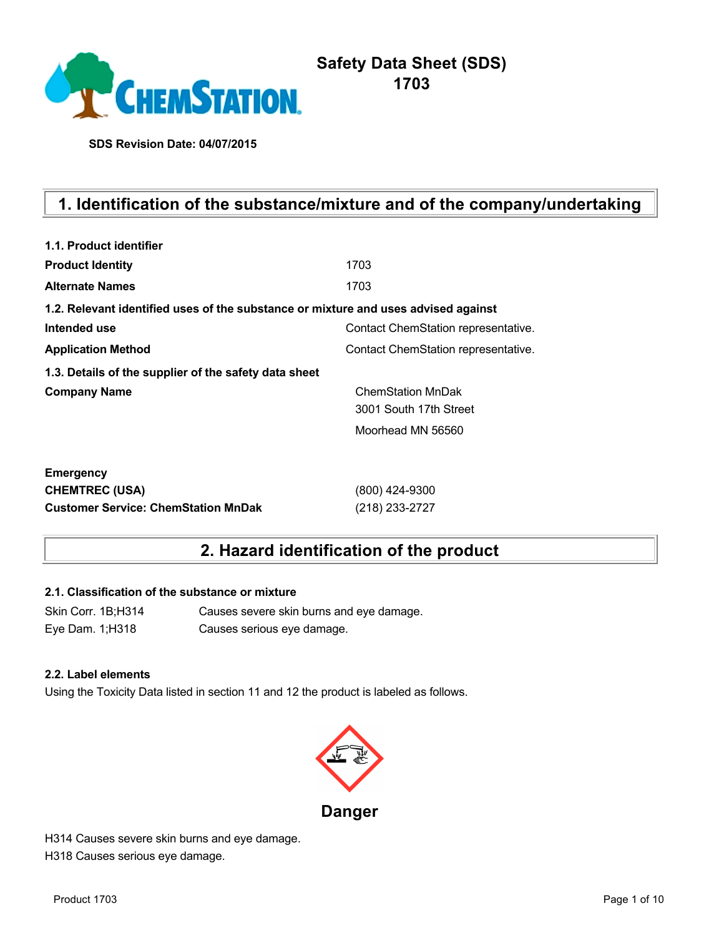

# **Safety Data Sheet (SDS) 1703**

**SDS Revision Date: 04/07/2015**

# **1. Identification of the substance/mixture and of the company/undertaking**

| 1.1. Product identifier                                                            |                                     |
|------------------------------------------------------------------------------------|-------------------------------------|
| <b>Product Identity</b>                                                            | 1703                                |
| <b>Alternate Names</b>                                                             | 1703                                |
| 1.2. Relevant identified uses of the substance or mixture and uses advised against |                                     |
| Intended use                                                                       | Contact ChemStation representative. |
| <b>Application Method</b>                                                          | Contact ChemStation representative. |
| 1.3. Details of the supplier of the safety data sheet                              |                                     |
| <b>Company Name</b>                                                                | <b>ChemStation MnDak</b>            |
|                                                                                    | 3001 South 17th Street              |
|                                                                                    | Moorhead MN 56560                   |
| <b>Emergency</b>                                                                   |                                     |
| <b>CHEMTREC (USA)</b>                                                              | (800) 424-9300                      |
| <b>Customer Service: ChemStation MnDak</b>                                         | (218) 233-2727                      |

## **2. Hazard identification of the product**

### **2.1. Classification of the substance or mixture**

Skin Corr. 1B;H314 Causes severe skin burns and eye damage. Eye Dam. 1;H318 Causes serious eye damage.

### **2.2. Label elements**

Using the Toxicity Data listed in section 11 and 12 the product is labeled as follows.



H314 Causes severe skin burns and eye damage. H318 Causes serious eye damage.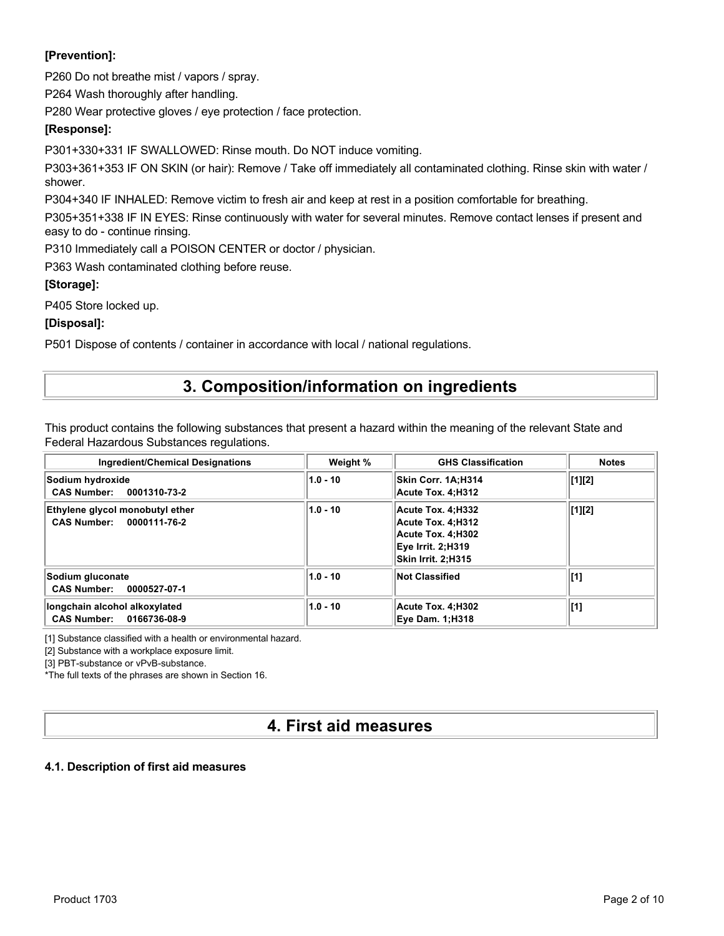### **[Prevention]:**

P260 Do not breathe mist / vapors / spray.

P264 Wash thoroughly after handling.

P280 Wear protective gloves / eye protection / face protection.

### **[Response]:**

P301+330+331 IF SWALLOWED: Rinse mouth. Do NOT induce vomiting.

P303+361+353 IF ON SKIN (or hair): Remove / Take off immediately all contaminated clothing. Rinse skin with water / shower.

P304+340 IF INHALED: Remove victim to fresh air and keep at rest in a position comfortable for breathing.

P305+351+338 IF IN EYES: Rinse continuously with water for several minutes. Remove contact lenses if present and easy to do - continue rinsing.

P310 Immediately call a POISON CENTER or doctor / physician.

P363 Wash contaminated clothing before reuse.

### **[Storage]:**

P405 Store locked up.

### **[Disposal]:**

P501 Dispose of contents / container in accordance with local / national regulations.

## **3. Composition/information on ingredients**

This product contains the following substances that present a hazard within the meaning of the relevant State and Federal Hazardous Substances regulations.

| <b>Ingredient/Chemical Designations</b>                               | Weight %   | <b>GHS Classification</b>                                                                              | <b>Notes</b>   |
|-----------------------------------------------------------------------|------------|--------------------------------------------------------------------------------------------------------|----------------|
| Sodium hydroxide<br><b>CAS Number:</b><br>0001310-73-2                | $1.0 - 10$ | Skin Corr. 1A:H314<br>Acute Tox. 4:H312                                                                | $\vert [1][2]$ |
| Ethylene glycol monobutyl ether<br><b>CAS Number:</b><br>0000111-76-2 | $1.0 - 10$ | Acute Tox. 4:H332<br>Acute Tox. 4:H312<br>Acute Tox. 4:H302<br>Eye Irrit. 2:H319<br>Skin Irrit. 2:H315 | [1][2]         |
| Sodium gluconate<br><b>CAS Number:</b><br>0000527-07-1                | $1.0 - 10$ | <b>Not Classified</b>                                                                                  | [1]            |
| longchain alcohol alkoxylated<br><b>CAS Number:</b><br>0166736-08-9   | $1.0 - 10$ | Acute Tox. 4:H302<br><b>Eye Dam. 1:H318</b>                                                            | [1]            |

[1] Substance classified with a health or environmental hazard.

[2] Substance with a workplace exposure limit.

[3] PBT-substance or vPvB-substance.

\*The full texts of the phrases are shown in Section 16.

## **4. First aid measures**

### **4.1. Description of first aid measures**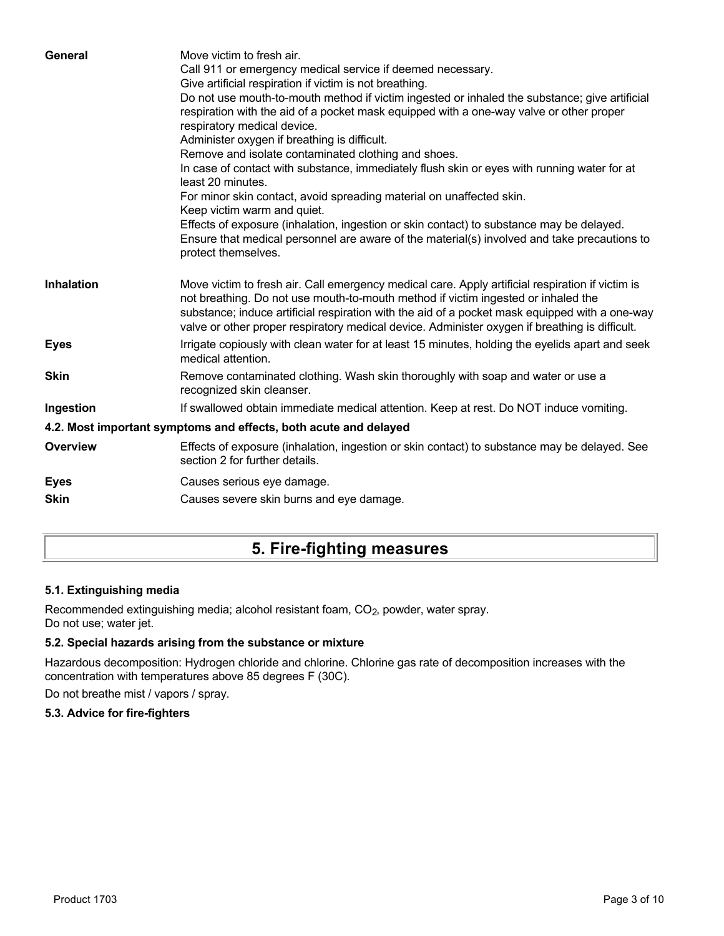| General           | Move victim to fresh air.<br>Call 911 or emergency medical service if deemed necessary.<br>Give artificial respiration if victim is not breathing.<br>Do not use mouth-to-mouth method if victim ingested or inhaled the substance; give artificial<br>respiration with the aid of a pocket mask equipped with a one-way valve or other proper<br>respiratory medical device.<br>Administer oxygen if breathing is difficult.<br>Remove and isolate contaminated clothing and shoes.<br>In case of contact with substance, immediately flush skin or eyes with running water for at<br>least 20 minutes.<br>For minor skin contact, avoid spreading material on unaffected skin.<br>Keep victim warm and quiet.<br>Effects of exposure (inhalation, ingestion or skin contact) to substance may be delayed.<br>Ensure that medical personnel are aware of the material(s) involved and take precautions to<br>protect themselves. |
|-------------------|-----------------------------------------------------------------------------------------------------------------------------------------------------------------------------------------------------------------------------------------------------------------------------------------------------------------------------------------------------------------------------------------------------------------------------------------------------------------------------------------------------------------------------------------------------------------------------------------------------------------------------------------------------------------------------------------------------------------------------------------------------------------------------------------------------------------------------------------------------------------------------------------------------------------------------------|
| <b>Inhalation</b> | Move victim to fresh air. Call emergency medical care. Apply artificial respiration if victim is<br>not breathing. Do not use mouth-to-mouth method if victim ingested or inhaled the<br>substance; induce artificial respiration with the aid of a pocket mask equipped with a one-way<br>valve or other proper respiratory medical device. Administer oxygen if breathing is difficult.                                                                                                                                                                                                                                                                                                                                                                                                                                                                                                                                         |
| <b>Eyes</b>       | Irrigate copiously with clean water for at least 15 minutes, holding the eyelids apart and seek<br>medical attention.                                                                                                                                                                                                                                                                                                                                                                                                                                                                                                                                                                                                                                                                                                                                                                                                             |
| <b>Skin</b>       | Remove contaminated clothing. Wash skin thoroughly with soap and water or use a<br>recognized skin cleanser.                                                                                                                                                                                                                                                                                                                                                                                                                                                                                                                                                                                                                                                                                                                                                                                                                      |
| Ingestion         | If swallowed obtain immediate medical attention. Keep at rest. Do NOT induce vomiting.                                                                                                                                                                                                                                                                                                                                                                                                                                                                                                                                                                                                                                                                                                                                                                                                                                            |
|                   | 4.2. Most important symptoms and effects, both acute and delayed                                                                                                                                                                                                                                                                                                                                                                                                                                                                                                                                                                                                                                                                                                                                                                                                                                                                  |
| Overview          | Effects of exposure (inhalation, ingestion or skin contact) to substance may be delayed. See<br>section 2 for further details.                                                                                                                                                                                                                                                                                                                                                                                                                                                                                                                                                                                                                                                                                                                                                                                                    |
| <b>Eyes</b>       | Causes serious eye damage.                                                                                                                                                                                                                                                                                                                                                                                                                                                                                                                                                                                                                                                                                                                                                                                                                                                                                                        |
| <b>Skin</b>       | Causes severe skin burns and eye damage.                                                                                                                                                                                                                                                                                                                                                                                                                                                                                                                                                                                                                                                                                                                                                                                                                                                                                          |
|                   |                                                                                                                                                                                                                                                                                                                                                                                                                                                                                                                                                                                                                                                                                                                                                                                                                                                                                                                                   |

## **5. Fire-fighting measures**

### **5.1. Extinguishing media**

Recommended extinguishing media; alcohol resistant foam, CO<sub>2</sub>, powder, water spray. Do not use; water jet.

### **5.2. Special hazards arising from the substance or mixture**

Hazardous decomposition: Hydrogen chloride and chlorine. Chlorine gas rate of decomposition increases with the concentration with temperatures above 85 degrees F (30C).

Do not breathe mist / vapors / spray.

### **5.3. Advice for fire-fighters**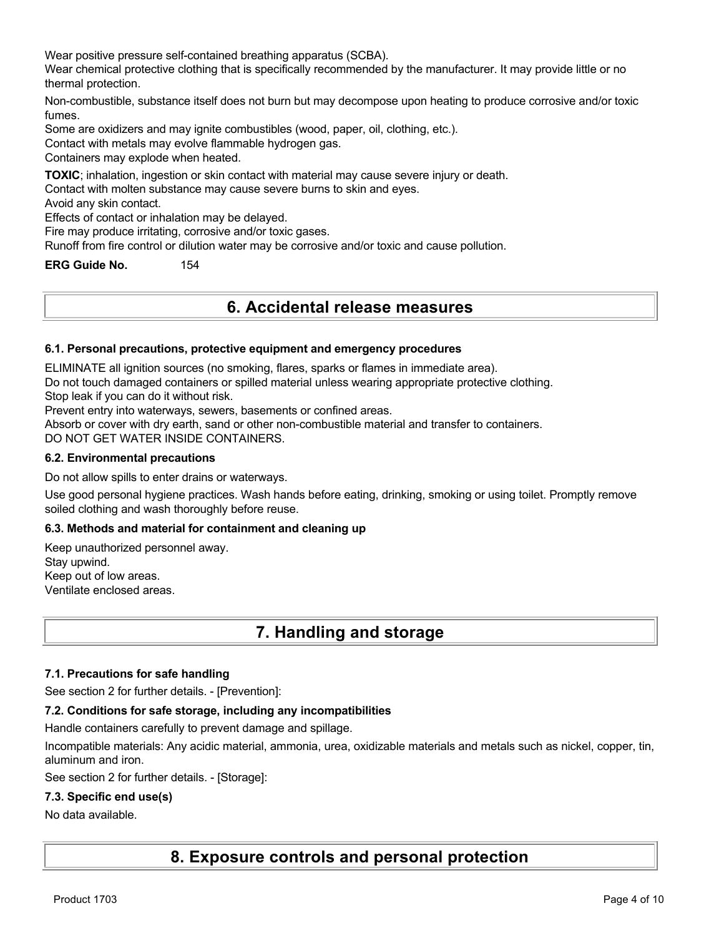Wear positive pressure self-contained breathing apparatus (SCBA).

Wear chemical protective clothing that is specifically recommended by the manufacturer. It may provide little or no thermal protection.

Non-combustible, substance itself does not burn but may decompose upon heating to produce corrosive and/or toxic fumes.

Some are oxidizers and may ignite combustibles (wood, paper, oil, clothing, etc.).

Contact with metals may evolve flammable hydrogen gas.

Containers may explode when heated.

**TOXIC**; inhalation, ingestion or skin contact with material may cause severe injury or death.

Contact with molten substance may cause severe burns to skin and eyes.

Avoid any skin contact.

Effects of contact or inhalation may be delayed.

Fire may produce irritating, corrosive and/or toxic gases.

Runoff from fire control or dilution water may be corrosive and/or toxic and cause pollution.

**ERG Guide No.** 154

## **6. Accidental release measures**

### **6.1. Personal precautions, protective equipment and emergency procedures**

ELIMINATE all ignition sources (no smoking, flares, sparks or flames in immediate area).

Do not touch damaged containers or spilled material unless wearing appropriate protective clothing.

Stop leak if you can do it without risk.

Prevent entry into waterways, sewers, basements or confined areas.

Absorb or cover with dry earth, sand or other non-combustible material and transfer to containers.

DO NOT GET WATER INSIDE CONTAINERS.

#### **6.2. Environmental precautions**

Do not allow spills to enter drains or waterways.

Use good personal hygiene practices. Wash hands before eating, drinking, smoking or using toilet. Promptly remove soiled clothing and wash thoroughly before reuse.

### **6.3. Methods and material for containment and cleaning up**

Keep unauthorized personnel away. Stay upwind. Keep out of low areas. Ventilate enclosed areas.

## **7. Handling and storage**

### **7.1. Precautions for safe handling**

See section 2 for further details. - [Prevention]:

### **7.2. Conditions for safe storage, including any incompatibilities**

Handle containers carefully to prevent damage and spillage.

Incompatible materials: Any acidic material, ammonia, urea, oxidizable materials and metals such as nickel, copper, tin, aluminum and iron.

See section 2 for further details. - [Storage]:

### **7.3. Specific end use(s)**

### No data available.

**8. Exposure controls and personal protection**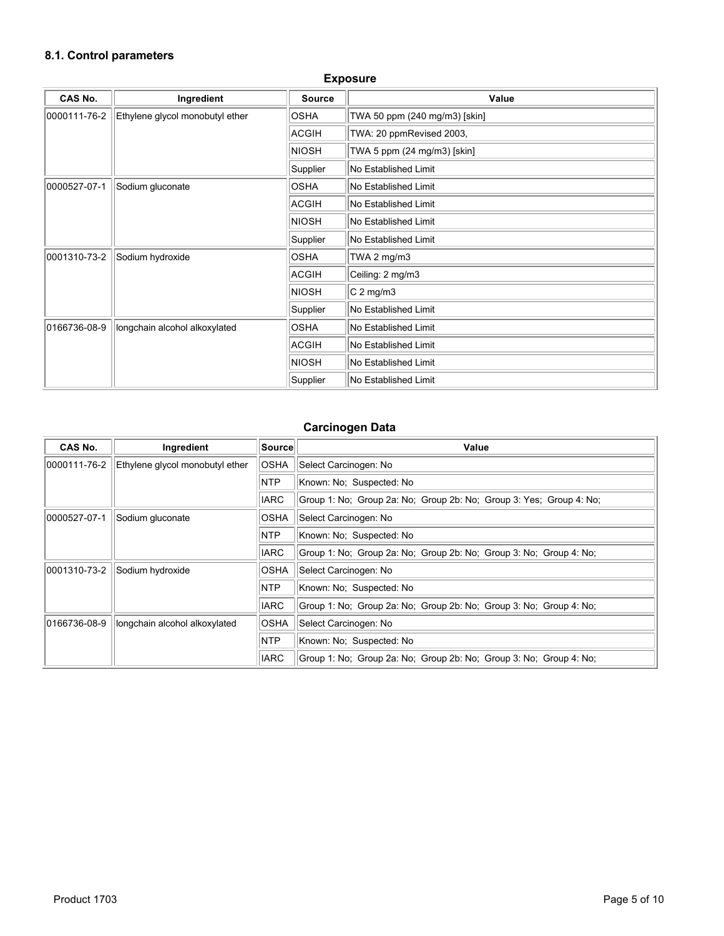### **8.1. Control parameters**

| <b>CAS No.</b> | Ingredient                      | <b>Source</b> | Value                         |
|----------------|---------------------------------|---------------|-------------------------------|
| 0000111-76-2   | Ethylene glycol monobutyl ether | <b>OSHA</b>   | TWA 50 ppm (240 mg/m3) [skin] |
|                |                                 | <b>ACGIH</b>  | TWA: 20 ppmRevised 2003,      |
|                |                                 | <b>NIOSH</b>  | TWA 5 ppm (24 mg/m3) [skin]   |
|                |                                 | Supplier      | No Established Limit          |
| 0000527-07-1   | Sodium gluconate                | <b>OSHA</b>   | No Established Limit          |
|                |                                 | ACGIH         | No Established Limit          |
|                |                                 | <b>NIOSH</b>  | No Established Limit          |
|                |                                 | Supplier      | No Established Limit          |
| 0001310-73-2   | Sodium hydroxide                | <b>OSHA</b>   | TWA 2 $mg/m3$                 |
|                |                                 | <b>ACGIH</b>  | Ceiling: 2 mg/m3              |
|                |                                 | <b>NIOSH</b>  | $C2$ mg/m3                    |
|                |                                 | Supplier      | No Established Limit          |
| 0166736-08-9   | longchain alcohol alkoxylated   | <b>OSHA</b>   | No Established Limit          |
|                |                                 | ACGIH         | No Established Limit          |
|                |                                 | <b>NIOSH</b>  | No Established Limit          |
|                |                                 | Supplier      | No Established Limit          |

### **Exposure**

### **Carcinogen Data**

| <b>CAS No.</b> | Ingredient                      | Source                               | Value                                                               |
|----------------|---------------------------------|--------------------------------------|---------------------------------------------------------------------|
| 0000111-76-2   | Ethylene glycol monobutyl ether | <b>OSHA</b>                          | Select Carcinogen: No                                               |
|                |                                 | <b>NTP</b>                           | Known: No: Suspected: No                                            |
|                |                                 | <b>IARC</b>                          | Group 1: No; Group 2a: No; Group 2b: No; Group 3: Yes; Group 4: No; |
| 0000527-07-1   | Sodium gluconate                | <b>OSHA</b>                          | Select Carcinogen: No                                               |
|                |                                 | NTP                                  | Known: No: Suspected: No                                            |
|                |                                 | <b>IARC</b>                          | Group 1: No: Group 2a: No: Group 2b: No: Group 3: No: Group 4: No:  |
| 0001310-73-2   | Sodium hydroxide                | <b>OSHA</b><br>Select Carcinogen: No |                                                                     |
|                |                                 | <b>NTP</b>                           | Known: No: Suspected: No                                            |
|                |                                 | <b>IARC</b>                          | Group 1: No; Group 2a: No; Group 2b: No; Group 3: No; Group 4: No;  |
| 0166736-08-9   | longchain alcohol alkoxylated   | <b>OSHA</b>                          | Select Carcinogen: No                                               |
|                |                                 | <b>NTP</b>                           | Known: No; Suspected: No                                            |
|                |                                 | <b>IARC</b>                          | Group 1: No: Group 2a: No: Group 2b: No: Group 3: No: Group 4: No:  |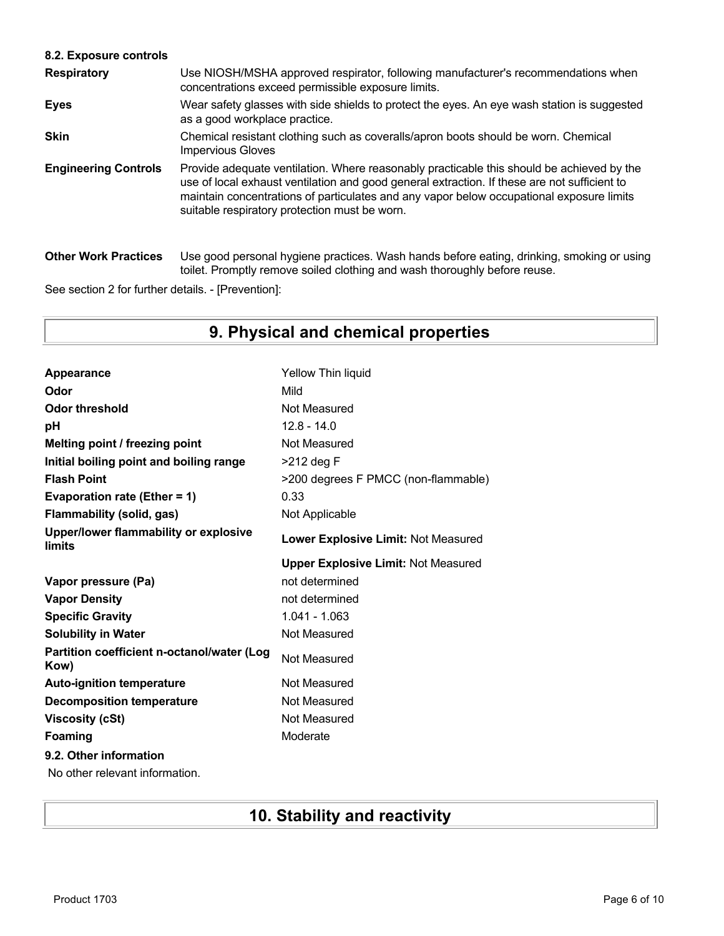### **8.2. Exposure controls**

| <b>Respiratory</b>          | Use NIOSH/MSHA approved respirator, following manufacturer's recommendations when<br>concentrations exceed permissible exposure limits.                                                                                                                                                                                                |
|-----------------------------|----------------------------------------------------------------------------------------------------------------------------------------------------------------------------------------------------------------------------------------------------------------------------------------------------------------------------------------|
| <b>Eyes</b>                 | Wear safety glasses with side shields to protect the eyes. An eye wash station is suggested<br>as a good workplace practice.                                                                                                                                                                                                           |
| <b>Skin</b>                 | Chemical resistant clothing such as coveralls/apron boots should be worn. Chemical<br><b>Impervious Gloves</b>                                                                                                                                                                                                                         |
| <b>Engineering Controls</b> | Provide adequate ventilation. Where reasonably practicable this should be achieved by the<br>use of local exhaust ventilation and good general extraction. If these are not sufficient to<br>maintain concentrations of particulates and any vapor below occupational exposure limits<br>suitable respiratory protection must be worn. |
| <b>Other Work Practices</b> | Use good personal hygiene practices. Wash hands before eating, drinking, smoking or using<br>toilet. Promptly remove soiled clothing and wash thoroughly before reuse.                                                                                                                                                                 |

See section 2 for further details. - [Prevention]:

# **9. Physical and chemical properties**

| Appearance                                         | <b>Yellow Thin liquid</b>                  |
|----------------------------------------------------|--------------------------------------------|
| Odor                                               | Mild                                       |
| <b>Odor threshold</b>                              | Not Measured                               |
| рH                                                 | $12.8 - 14.0$                              |
| Melting point / freezing point                     | Not Measured                               |
| Initial boiling point and boiling range            | >212 deg F                                 |
| <b>Flash Point</b>                                 | >200 degrees F PMCC (non-flammable)        |
| Evaporation rate (Ether = 1)                       | 0.33                                       |
| <b>Flammability (solid, gas)</b>                   | Not Applicable                             |
| Upper/lower flammability or explosive<br>limits    | Lower Explosive Limit: Not Measured        |
|                                                    | <b>Upper Explosive Limit: Not Measured</b> |
| Vapor pressure (Pa)                                | not determined                             |
|                                                    |                                            |
| <b>Vapor Density</b>                               | not determined                             |
| <b>Specific Gravity</b>                            | 1.041 - 1.063                              |
| <b>Solubility in Water</b>                         | Not Measured                               |
| Partition coefficient n-octanol/water (Log<br>Kow) | Not Measured                               |
| <b>Auto-ignition temperature</b>                   | Not Measured                               |
| <b>Decomposition temperature</b>                   | Not Measured                               |
| <b>Viscosity (cSt)</b>                             | Not Measured                               |
| Foaming                                            | Moderate                                   |
| 9.2. Other information                             |                                            |

# **10. Stability and reactivity**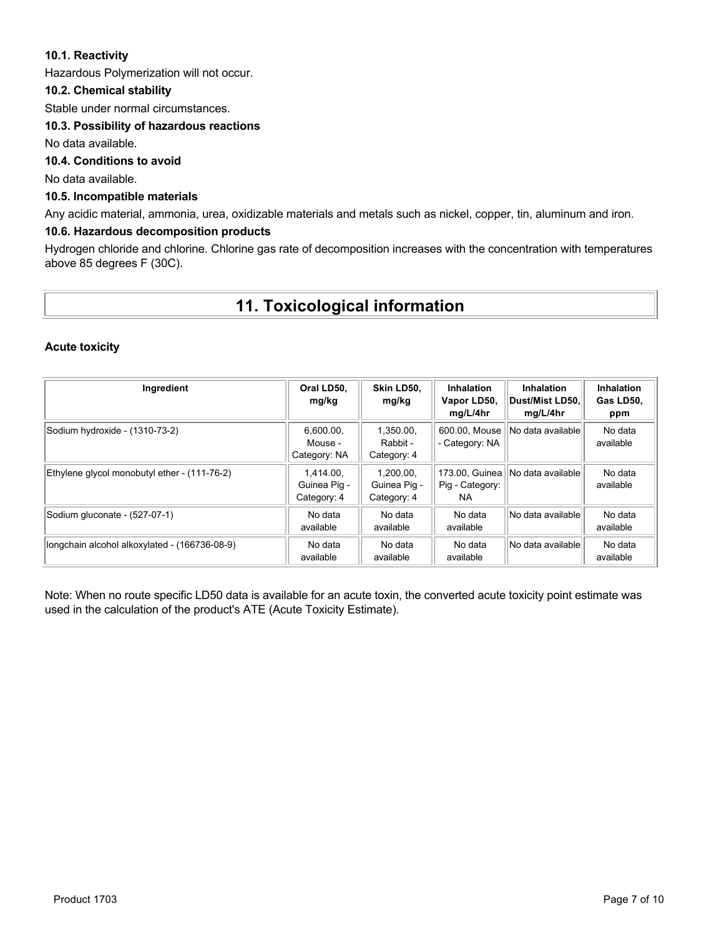### **10.1. Reactivity**

Hazardous Polymerization will not occur.

### **10.2. Chemical stability**

Stable under normal circumstances.

### **10.3. Possibility of hazardous reactions**

No data available.

### **10.4. Conditions to avoid**

No data available.

### **10.5. Incompatible materials**

Any acidic material, ammonia, urea, oxidizable materials and metals such as nickel, copper, tin, aluminum and iron.

### **10.6. Hazardous decomposition products**

Hydrogen chloride and chlorine. Chlorine gas rate of decomposition increases with the concentration with temperatures above 85 degrees F (30C).

## **11. Toxicological information**

### **Acute toxicity**

| Ingredient                                    | Oral LD50.<br>mg/kg                      | Skin LD50.<br>mg/kg                      | <b>Inhalation</b><br>Vapor LD50,<br>mg/L/4hr | <b>Inhalation</b><br>∣Dust/Mist LD50.∣<br>mg/L/4hr | <b>Inhalation</b><br>Gas LD50.<br>ppm |
|-----------------------------------------------|------------------------------------------|------------------------------------------|----------------------------------------------|----------------------------------------------------|---------------------------------------|
| Sodium hydroxide - (1310-73-2)                | 6.600.00.<br>Mouse -<br>Category: NA     | 1.350.00.<br>Rabbit -<br>Category: 4     | 600.00, Mouse<br>- Category: NA              | No data available                                  | No data<br>available                  |
| Ethylene glycol monobutyl ether - (111-76-2)  | 1.414.00.<br>Guinea Pig -<br>Category: 4 | 1.200.00.<br>Guinea Pig -<br>Category: 4 | 173.00. Guinea<br>Pig - Category:<br>NA.     | No data available                                  | No data<br>available                  |
| Sodium gluconate - (527-07-1)                 | No data<br>available                     | No data<br>available                     | No data<br>available                         | No data availablel                                 | No data<br>available                  |
| longchain alcohol alkoxylated - (166736-08-9) | No data<br>available                     | No data<br>available                     | No data<br>available                         | No data availablel                                 | No data<br>available                  |

Note: When no route specific LD50 data is available for an acute toxin, the converted acute toxicity point estimate was used in the calculation of the product's ATE (Acute Toxicity Estimate).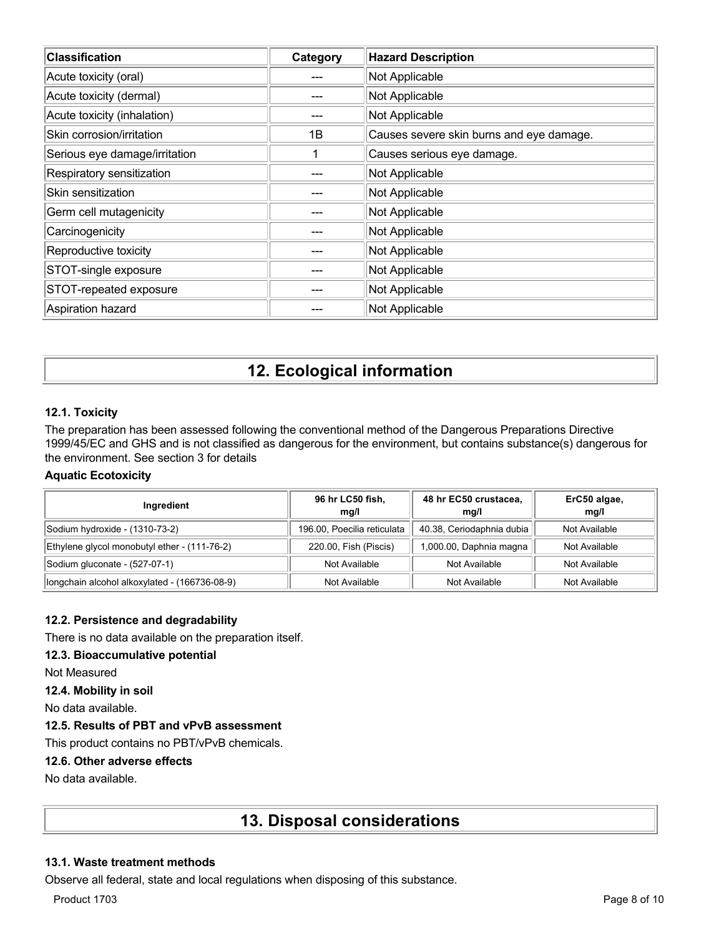| <b>Classification</b>         | Category | <b>Hazard Description</b>                |
|-------------------------------|----------|------------------------------------------|
| Acute toxicity (oral)         |          | Not Applicable                           |
| Acute toxicity (dermal)       |          | Not Applicable                           |
| Acute toxicity (inhalation)   |          | Not Applicable                           |
| Skin corrosion/irritation     | 1B       | Causes severe skin burns and eye damage. |
| Serious eye damage/irritation |          | Causes serious eye damage.               |
| Respiratory sensitization     |          | Not Applicable                           |
| Skin sensitization            |          | Not Applicable                           |
| Germ cell mutagenicity        |          | Not Applicable                           |
| Carcinogenicity               |          | Not Applicable                           |
| Reproductive toxicity         |          | Not Applicable                           |
| STOT-single exposure          |          | Not Applicable                           |
| STOT-repeated exposure        |          | Not Applicable                           |
| Aspiration hazard             |          | Not Applicable                           |

# **12. Ecological information**

### **12.1. Toxicity**

The preparation has been assessed following the conventional method of the Dangerous Preparations Directive 1999/45/EC and GHS and is not classified as dangerous for the environment, but contains substance(s) dangerous for the environment. See section 3 for details

### **Aquatic Ecotoxicity**

| Ingredient                                    | 96 hr LC50 fish,<br>mq/l    | 48 hr EC50 crustacea,<br>mg/l | ErC50 algae,<br>mg/l |
|-----------------------------------------------|-----------------------------|-------------------------------|----------------------|
| Sodium hydroxide - (1310-73-2)                | 196.00, Poecilia reticulata | 40.38, Ceriodaphnia dubia     | Not Available        |
| Ethylene glycol monobutyl ether - (111-76-2)  | 220.00, Fish (Piscis)       | 1,000.00, Daphnia magna       | Not Available        |
| Sodium gluconate - (527-07-1)                 | Not Available               | Not Available                 | Not Available        |
| longchain alcohol alkoxylated - (166736-08-9) | Not Available               | Not Available                 | Not Available        |

### **12.2. Persistence and degradability**

There is no data available on the preparation itself.

### **12.3. Bioaccumulative potential**

Not Measured

### **12.4. Mobility in soil**

No data available.

### **12.5. Results of PBT and vPvB assessment**

This product contains no PBT/vPvB chemicals.

### **12.6. Other adverse effects**

No data available.

## **13. Disposal considerations**

### **13.1. Waste treatment methods**

Observe all federal, state and local regulations when disposing of this substance.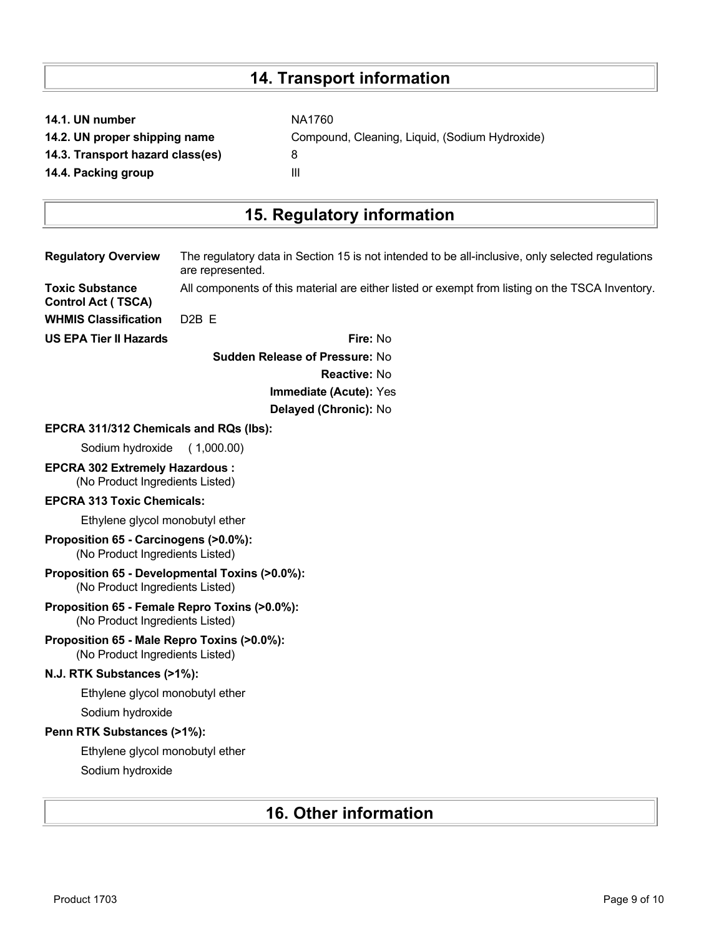# **14. Transport information**

|  |  | 14.1. UN number |
|--|--|-----------------|
|  |  |                 |

**14.3. Transport hazard class(es)** 8

**NA1760 14.2. UN proper shipping name** Compound, Cleaning, Liquid, (Sodium Hydroxide) **14.4. Packing group III** 

# **15. Regulatory information**

| <b>Regulatory Overview</b>                                                        | The regulatory data in Section 15 is not intended to be all-inclusive, only selected regulations<br>are represented. |  |  |  |  |
|-----------------------------------------------------------------------------------|----------------------------------------------------------------------------------------------------------------------|--|--|--|--|
| <b>Toxic Substance</b><br><b>Control Act (TSCA)</b>                               | All components of this material are either listed or exempt from listing on the TSCA Inventory.                      |  |  |  |  |
| <b>WHMIS Classification</b>                                                       | D <sub>2</sub> B <sub>E</sub>                                                                                        |  |  |  |  |
| <b>US EPA Tier II Hazards</b>                                                     | Fire: No                                                                                                             |  |  |  |  |
|                                                                                   | <b>Sudden Release of Pressure: No</b>                                                                                |  |  |  |  |
|                                                                                   | Reactive: No                                                                                                         |  |  |  |  |
|                                                                                   | Immediate (Acute): Yes                                                                                               |  |  |  |  |
|                                                                                   | Delayed (Chronic): No                                                                                                |  |  |  |  |
| EPCRA 311/312 Chemicals and RQs (lbs):                                            |                                                                                                                      |  |  |  |  |
| Sodium hydroxide                                                                  | (1,000.00)                                                                                                           |  |  |  |  |
| <b>EPCRA 302 Extremely Hazardous:</b><br>(No Product Ingredients Listed)          |                                                                                                                      |  |  |  |  |
| <b>EPCRA 313 Toxic Chemicals:</b>                                                 |                                                                                                                      |  |  |  |  |
| Ethylene glycol monobutyl ether                                                   |                                                                                                                      |  |  |  |  |
| Proposition 65 - Carcinogens (>0.0%):<br>(No Product Ingredients Listed)          |                                                                                                                      |  |  |  |  |
| Proposition 65 - Developmental Toxins (>0.0%):<br>(No Product Ingredients Listed) |                                                                                                                      |  |  |  |  |
| Proposition 65 - Female Repro Toxins (>0.0%):<br>(No Product Ingredients Listed)  |                                                                                                                      |  |  |  |  |
| Proposition 65 - Male Repro Toxins (>0.0%):<br>(No Product Ingredients Listed)    |                                                                                                                      |  |  |  |  |
| N.J. RTK Substances (>1%):                                                        |                                                                                                                      |  |  |  |  |
| Ethylene glycol monobutyl ether                                                   |                                                                                                                      |  |  |  |  |
| Sodium hydroxide                                                                  |                                                                                                                      |  |  |  |  |
| Penn RTK Substances (>1%):                                                        |                                                                                                                      |  |  |  |  |
| Ethylene glycol monobutyl ether                                                   |                                                                                                                      |  |  |  |  |
| Sodium hydroxide                                                                  |                                                                                                                      |  |  |  |  |
|                                                                                   |                                                                                                                      |  |  |  |  |

# **16. Other information**